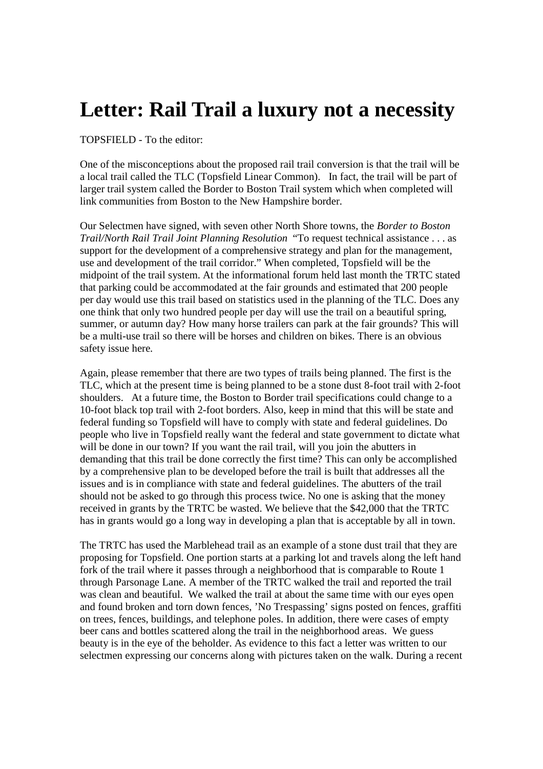## **Letter: Rail Trail a luxury not a necessity**

TOPSFIELD - To the editor:

One of the misconceptions about the proposed rail trail conversion is that the trail will be a local trail called the TLC (Topsfield Linear Common). In fact, the trail will be part of larger trail system called the Border to Boston Trail system which when completed will link communities from Boston to the New Hampshire border.

Our Selectmen have signed, with seven other North Shore towns, the *Border to Boston Trail/North Rail Trail Joint Planning Resolution* "To request technical assistance . . . as support for the development of a comprehensive strategy and plan for the management, use and development of the trail corridor." When completed, Topsfield will be the midpoint of the trail system. At the informational forum held last month the TRTC stated that parking could be accommodated at the fair grounds and estimated that 200 people per day would use this trail based on statistics used in the planning of the TLC. Does any one think that only two hundred people per day will use the trail on a beautiful spring, summer, or autumn day? How many horse trailers can park at the fair grounds? This will be a multi-use trail so there will be horses and children on bikes. There is an obvious safety issue here.

Again, please remember that there are two types of trails being planned. The first is the TLC, which at the present time is being planned to be a stone dust 8-foot trail with 2-foot shoulders. At a future time, the Boston to Border trail specifications could change to a 10-foot black top trail with 2-foot borders. Also, keep in mind that this will be state and federal funding so Topsfield will have to comply with state and federal guidelines. Do people who live in Topsfield really want the federal and state government to dictate what will be done in our town? If you want the rail trail, will you join the abutters in demanding that this trail be done correctly the first time? This can only be accomplished by a comprehensive plan to be developed before the trail is built that addresses all the issues and is in compliance with state and federal guidelines. The abutters of the trail should not be asked to go through this process twice. No one is asking that the money received in grants by the TRTC be wasted. We believe that the \$42,000 that the TRTC has in grants would go a long way in developing a plan that is acceptable by all in town.

The TRTC has used the Marblehead trail as an example of a stone dust trail that they are proposing for Topsfield. One portion starts at a parking lot and travels along the left hand fork of the trail where it passes through a neighborhood that is comparable to Route 1 through Parsonage Lane. A member of the TRTC walked the trail and reported the trail was clean and beautiful. We walked the trail at about the same time with our eyes open and found broken and torn down fences, 'No Trespassing' signs posted on fences, graffiti on trees, fences, buildings, and telephone poles. In addition, there were cases of empty beer cans and bottles scattered along the trail in the neighborhood areas. We guess beauty is in the eye of the beholder. As evidence to this fact a letter was written to our selectmen expressing our concerns along with pictures taken on the walk. During a recent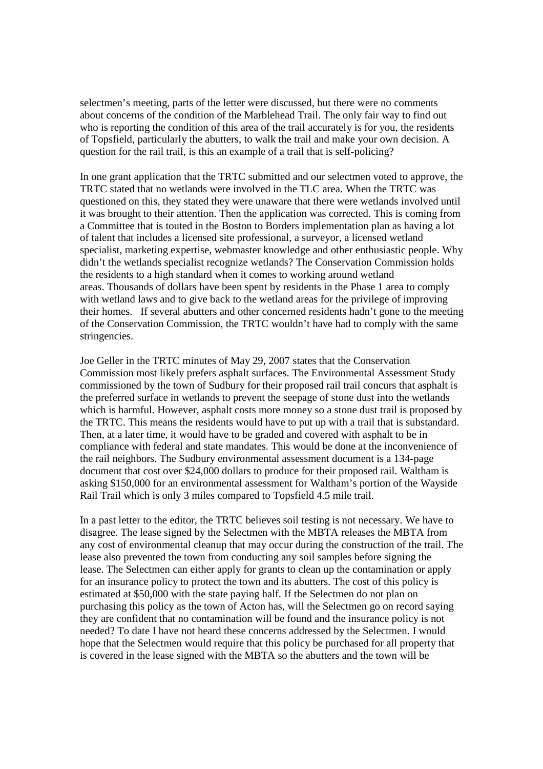selectmen's meeting, parts of the letter were discussed, but there were no comments about concerns of the condition of the Marblehead Trail. The only fair way to find out who is reporting the condition of this area of the trail accurately is for you, the residents of Topsfield, particularly the abutters, to walk the trail and make your own decision. A question for the rail trail, is this an example of a trail that is self-policing?

In one grant application that the TRTC submitted and our selectmen voted to approve, the TRTC stated that no wetlands were involved in the TLC area. When the TRTC was questioned on this, they stated they were unaware that there were wetlands involved until it was brought to their attention. Then the application was corrected. This is coming from a Committee that is touted in the Boston to Borders implementation plan as having a lot of talent that includes a licensed site professional, a surveyor, a licensed wetland specialist, marketing expertise, webmaster knowledge and other enthusiastic people. Why didn't the wetlands specialist recognize wetlands? The Conservation Commission holds the residents to a high standard when it comes to working around wetland areas. Thousands of dollars have been spent by residents in the Phase 1 area to comply with wetland laws and to give back to the wetland areas for the privilege of improving their homes. If several abutters and other concerned residents hadn't gone to the meeting of the Conservation Commission, the TRTC wouldn't have had to comply with the same stringencies.

Joe Geller in the TRTC minutes of May 29, 2007 states that the Conservation Commission most likely prefers asphalt surfaces. The Environmental Assessment Study commissioned by the town of Sudbury for their proposed rail trail concurs that asphalt is the preferred surface in wetlands to prevent the seepage of stone dust into the wetlands which is harmful. However, asphalt costs more money so a stone dust trail is proposed by the TRTC. This means the residents would have to put up with a trail that is substandard. Then, at a later time, it would have to be graded and covered with asphalt to be in compliance with federal and state mandates. This would be done at the inconvenience of the rail neighbors. The Sudbury environmental assessment document is a 134-page document that cost over \$24,000 dollars to produce for their proposed rail. Waltham is asking \$150,000 for an environmental assessment for Waltham's portion of the Wayside Rail Trail which is only 3 miles compared to Topsfield 4.5 mile trail.

In a past letter to the editor, the TRTC believes soil testing is not necessary. We have to disagree. The lease signed by the Selectmen with the MBTA releases the MBTA from any cost of environmental cleanup that may occur during the construction of the trail. The lease also prevented the town from conducting any soil samples before signing the lease. The Selectmen can either apply for grants to clean up the contamination or apply for an insurance policy to protect the town and its abutters. The cost of this policy is estimated at \$50,000 with the state paying half. If the Selectmen do not plan on purchasing this policy as the town of Acton has, will the Selectmen go on record saying they are confident that no contamination will be found and the insurance policy is not needed? To date I have not heard these concerns addressed by the Selectmen. I would hope that the Selectmen would require that this policy be purchased for all property that is covered in the lease signed with the MBTA so the abutters and the town will be